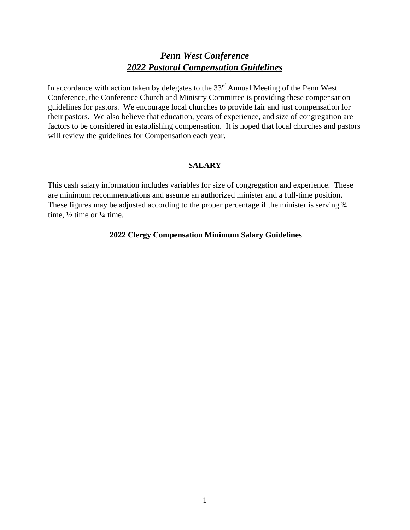# *Penn West Conference 2022 Pastoral Compensation Guidelines*

In accordance with action taken by delegates to the 33<sup>rd</sup> Annual Meeting of the Penn West Conference, the Conference Church and Ministry Committee is providing these compensation guidelines for pastors. We encourage local churches to provide fair and just compensation for their pastors. We also believe that education, years of experience, and size of congregation are factors to be considered in establishing compensation. It is hoped that local churches and pastors will review the guidelines for Compensation each year.

#### **SALARY**

This cash salary information includes variables for size of congregation and experience. These are minimum recommendations and assume an authorized minister and a full-time position. These figures may be adjusted according to the proper percentage if the minister is serving  $\frac{3}{4}$ time,  $\frac{1}{2}$  time or  $\frac{1}{4}$  time.

#### **2022 Clergy Compensation Minimum Salary Guidelines**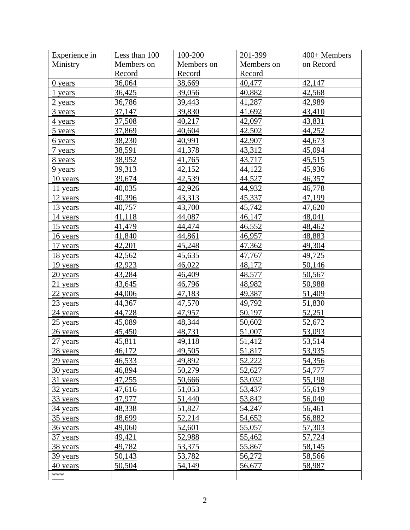| <b>Experience in</b> | Less than 100 | $100 - 200$ | 201-399    | $400+$ Members |
|----------------------|---------------|-------------|------------|----------------|
| Ministry             | Members on    | Members on  | Members on | on Record      |
|                      | Record        | Record      | Record     |                |
| 0 years              | 36,064        | 38,669      | 40,477     | 42,147         |
| 1 years              | 36,425        | 39,056      | 40,882     | 42,568         |
| 2 years              | 36,786        | 39,443      | 41,287     | 42,989         |
| 3 years              | 37,147        | 39,830      | 41,692     | 43,410         |
| <u>4 years</u>       | 37,508        | 40,217      | 42,097     | 43,831         |
| 5 years              | 37,869        | 40,604      | 42,502     | 44,252         |
| <u>6</u> years       | 38,230        | 40,991      | 42,907     | 44,673         |
| 7 years              | 38,591        | 41,378      | 43,312     | 45,094         |
| <u>8 years</u>       | 38,952        | 41,765      | 43,717     | 45,515         |
| 9 years              | 39,313        | 42,152      | 44,122     | 45,936         |
| 10 years             | 39,674        | 42,539      | 44,527     | 46,357         |
| $11$ years           | 40,035        | 42,926      | 44,932     | 46,778         |
| 12 years             | 40,396        | 43,313      | 45,337     | 47,199         |
| 13 years             | 40,757        | 43,700      | 45,742     | 47,620         |
| 14 years             | 41,118        | 44,087      | 46,147     | 48,041         |
| 15 years             | 41,479        | 44,474      | 46,552     | 48,462         |
| 16 years             | 41,840        | 44,861      | 46,957     | 48,883         |
| 17 years             | 42,201        | 45,248      | 47,362     | 49,304         |
| 18 years             | 42,562        | 45,635      | 47,767     | 49,725         |
| 19 years             | 42,923        | 46,022      | 48,172     | 50,146         |
| 20 years             | 43,284        | 46,409      | 48,577     | 50,567         |
| $21$ years           | 43,645        | 46,796      | 48,982     | 50,988         |
| 22 years             | 44,006        | 47,183      | 49,387     | 51,409         |
| 23 years             | 44,367        | 47,570      | 49,792     | 51,830         |
| 24 years             | 44,728        | 47,957      | 50,197     | 52,251         |
| $25$ years           | 45,089        | 48,344      | 50,602     | 52,672         |
| 26 years             | 45,450        | 48,731      | 51,007     | 53,093         |
| $27$ years           | 45,811        | 49,118      | 51,412     | 53,514         |
| 28 years             | 46,172        | 49,505      | 51,817     | 53,935         |
| 29 years             | 46,533        | 49,892      | 52,222     | 54,356         |
| 30 years             | 46,894        | 50,279      | 52,627     | 54,777         |
| 31 years             | 47,255        | 50,666      | 53,032     | 55,198         |
| 32 years             | 47,616        | 51,053      | 53,437     | 55,619         |
| 33 years             | 47,977        | 51,440      | 53,842     | 56,040         |
| 34 years             | 48,338        | 51,827      | 54,247     | 56,461         |
| 35 years             | 48,699        | 52,214      | 54,652     | 56,882         |
| 36 years             | 49,060        | 52,601      | 55,057     | 57,303         |
| 37 years             | 49,421        | 52,988      | 55,462     | 57,724         |
| 38 years             | 49,782        | 53,375      | 55,867     | 58,145         |
| 39 years             | 50,143        | 53,782      | 56,272     | 58,566         |
| 40 years             | 50,504        | 54,149      | 56,677     | 58,987         |
| ***                  |               |             |            |                |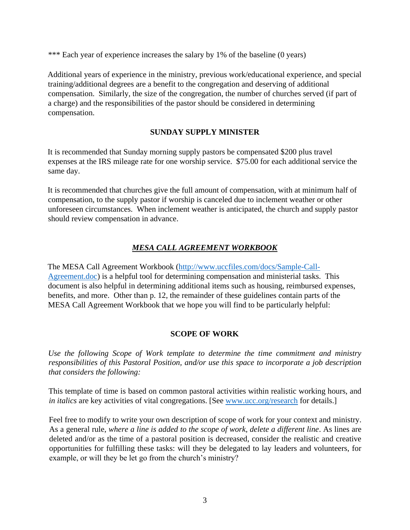\*\*\* Each year of experience increases the salary by 1% of the baseline (0 years)

Additional years of experience in the ministry, previous work/educational experience, and special training/additional degrees are a benefit to the congregation and deserving of additional compensation. Similarly, the size of the congregation, the number of churches served (if part of a charge) and the responsibilities of the pastor should be considered in determining compensation.

# **SUNDAY SUPPLY MINISTER**

It is recommended that Sunday morning supply pastors be compensated \$200 plus travel expenses at the IRS mileage rate for one worship service. \$75.00 for each additional service the same day.

It is recommended that churches give the full amount of compensation, with at minimum half of compensation, to the supply pastor if worship is canceled due to inclement weather or other unforeseen circumstances. When inclement weather is anticipated, the church and supply pastor should review compensation in advance.

# *MESA CALL AGREEMENT WORKBOOK*

The MESA Call Agreement Workbook [\(http://www.uccfiles.com/docs/Sample-Call-](http://www.uccfiles.com/docs/Sample-Call-Agreement.doc)[Agreement.doc\)](http://www.uccfiles.com/docs/Sample-Call-Agreement.doc) is a helpful tool for determining compensation and ministerial tasks. This document is also helpful in determining additional items such as housing, reimbursed expenses, benefits, and more. Other than p. 12, the remainder of these guidelines contain parts of the MESA Call Agreement Workbook that we hope you will find to be particularly helpful:

#### **SCOPE OF WORK**

*Use the following Scope of Work template to determine the time commitment and ministry responsibilities of this Pastoral Position, and/or use this space to incorporate a job description that considers the following:*

This template of time is based on common pastoral activities within realistic working hours, and *in italics* are key activities of vital congregations. [See [www.ucc.org/research](http://www.ucc.org/research) for details.]

Feel free to modify to write your own description of scope of work for your context and ministry. As a general rule, *where a line is added to the scope of work, delete a different line*. As lines are deleted and/or as the time of a pastoral position is decreased, consider the realistic and creative opportunities for fulfilling these tasks: will they be delegated to lay leaders and volunteers, for example, or will they be let go from the church's ministry?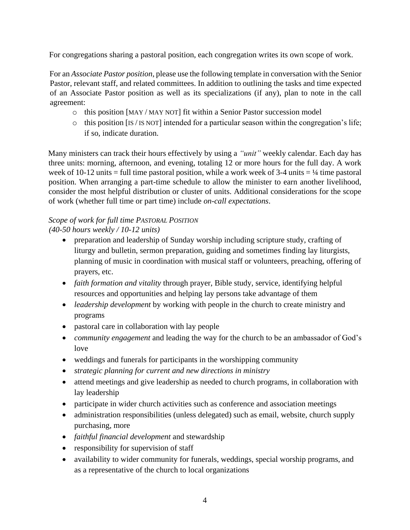For congregations sharing a pastoral position, each congregation writes its own scope of work.

For an *Associate Pastor position*, please use the following template in conversation with the Senior Pastor, relevant staff, and related committees. In addition to outlining the tasks and time expected of an Associate Pastor position as well as its specializations (if any), plan to note in the call agreement:

- o this position [MAY / MAY NOT] fit within a Senior Pastor succession model
- $\circ$  this position [IS / IS NOT] intended for a particular season within the congregation's life; if so, indicate duration.

Many ministers can track their hours effectively by using a *"unit"* weekly calendar. Each day has three units: morning, afternoon, and evening, totaling 12 or more hours for the full day. A work week of 10-12 units = full time pastoral position, while a work week of 3-4 units =  $\frac{1}{4}$  time pastoral position. When arranging a part-time schedule to allow the minister to earn another livelihood, consider the most helpful distribution or cluster of units. Additional considerations for the scope of work (whether full time or part time) include *on-call expectations*.

# *Scope of work for full time PASTORAL POSITION*

*(40-50 hours weekly / 10-12 units)*

- preparation and leadership of Sunday worship including scripture study, crafting of liturgy and bulletin, sermon preparation, guiding and sometimes finding lay liturgists, planning of music in coordination with musical staff or volunteers, preaching, offering of prayers, etc.
- *faith formation and vitality* through prayer, Bible study, service, identifying helpful resources and opportunities and helping lay persons take advantage of them
- *leadership development* by working with people in the church to create ministry and programs
- pastoral care in collaboration with lay people
- *community engagement* and leading the way for the church to be an ambassador of God's love
- weddings and funerals for participants in the worshipping community
- *strategic planning for current and new directions in ministry*
- attend meetings and give leadership as needed to church programs, in collaboration with lay leadership
- participate in wider church activities such as conference and association meetings
- administration responsibilities (unless delegated) such as email, website, church supply purchasing, more
- *faithful financial development* and stewardship
- responsibility for supervision of staff
- availability to wider community for funerals, weddings, special worship programs, and as a representative of the church to local organizations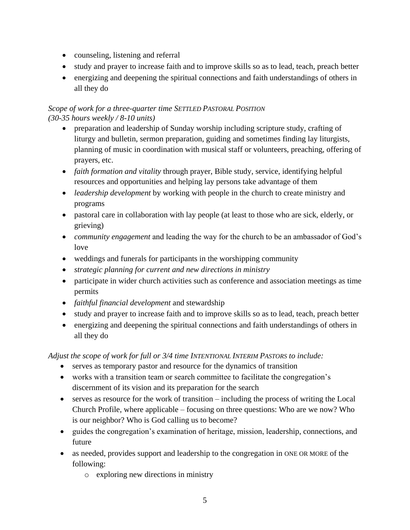- counseling, listening and referral
- study and prayer to increase faith and to improve skills so as to lead, teach, preach better
- energizing and deepening the spiritual connections and faith understandings of others in all they do

# *Scope of work for a three-quarter time SETTLED PASTORAL POSITION (30-35 hours weekly / 8-10 units)*

- preparation and leadership of Sunday worship including scripture study, crafting of liturgy and bulletin, sermon preparation, guiding and sometimes finding lay liturgists, planning of music in coordination with musical staff or volunteers, preaching, offering of prayers, etc.
- *faith formation and vitality* through prayer, Bible study, service, identifying helpful resources and opportunities and helping lay persons take advantage of them
- *leadership development* by working with people in the church to create ministry and programs
- pastoral care in collaboration with lay people (at least to those who are sick, elderly, or grieving)
- *community engagement* and leading the way for the church to be an ambassador of God's love
- weddings and funerals for participants in the worshipping community
- *strategic planning for current and new directions in ministry*
- participate in wider church activities such as conference and association meetings as time permits
- *faithful financial development* and stewardship
- study and prayer to increase faith and to improve skills so as to lead, teach, preach better
- energizing and deepening the spiritual connections and faith understandings of others in all they do

*Adjust the scope of work for full or 3/4 time INTENTIONAL INTERIM PASTORS to include:*

- serves as temporary pastor and resource for the dynamics of transition
- works with a transition team or search committee to facilitate the congregation's discernment of its vision and its preparation for the search
- serves as resource for the work of transition including the process of writing the Local Church Profile, where applicable – focusing on three questions: Who are we now? Who is our neighbor? Who is God calling us to become?
- guides the congregation's examination of heritage, mission, leadership, connections, and future
- as needed, provides support and leadership to the congregation in ONE OR MORE of the following:
	- o exploring new directions in ministry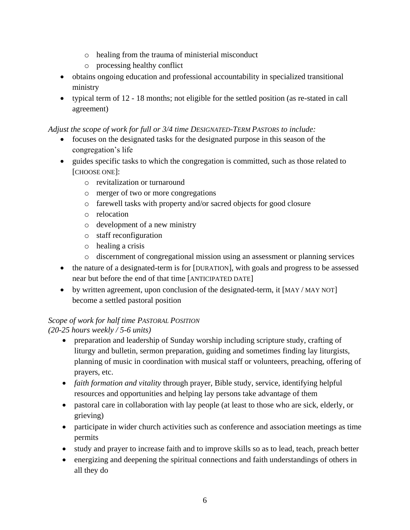- o healing from the trauma of ministerial misconduct
- o processing healthy conflict
- obtains ongoing education and professional accountability in specialized transitional ministry
- typical term of 12 18 months; not eligible for the settled position (as re-stated in call agreement)

# *Adjust the scope of work for full or 3/4 time DESIGNATED-TERM PASTORS to include:*

- focuses on the designated tasks for the designated purpose in this season of the congregation's life
- guides specific tasks to which the congregation is committed, such as those related to [CHOOSE ONE]:
	- o revitalization or turnaround
	- o merger of two or more congregations
	- o farewell tasks with property and/or sacred objects for good closure
	- o relocation
	- o development of a new ministry
	- o staff reconfiguration
	- o healing a crisis
	- o discernment of congregational mission using an assessment or planning services
- the nature of a designated-term is for [DURATION], with goals and progress to be assessed near but before the end of that time [ANTICIPATED DATE]
- by written agreement, upon conclusion of the designated-term, it [MAY / MAY NOT] become a settled pastoral position

# *Scope of work for half time PASTORAL POSITION*

*(20-25 hours weekly / 5-6 units)* 

- preparation and leadership of Sunday worship including scripture study, crafting of liturgy and bulletin, sermon preparation, guiding and sometimes finding lay liturgists, planning of music in coordination with musical staff or volunteers, preaching, offering of prayers, etc.
- *faith formation and vitality* through prayer, Bible study, service, identifying helpful resources and opportunities and helping lay persons take advantage of them
- pastoral care in collaboration with lay people (at least to those who are sick, elderly, or grieving)
- participate in wider church activities such as conference and association meetings as time permits
- study and prayer to increase faith and to improve skills so as to lead, teach, preach better
- energizing and deepening the spiritual connections and faith understandings of others in all they do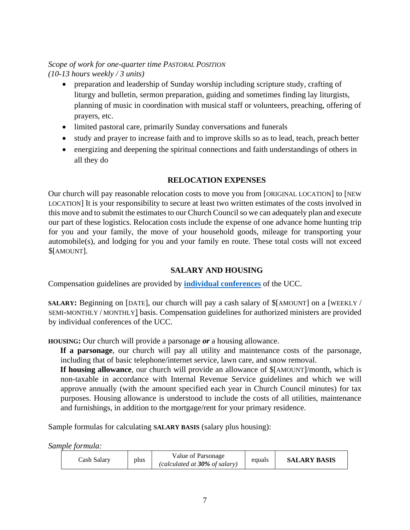# *Scope of work for one-quarter time PASTORAL POSITION (10-13 hours weekly / 3 units)*

- preparation and leadership of Sunday worship including scripture study, crafting of liturgy and bulletin, sermon preparation, guiding and sometimes finding lay liturgists, planning of music in coordination with musical staff or volunteers, preaching, offering of prayers, etc.
- limited pastoral care, primarily Sunday conversations and funerals
- study and prayer to increase faith and to improve skills so as to lead, teach, preach better
- energizing and deepening the spiritual connections and faith understandings of others in all they do

#### **RELOCATION EXPENSES**

Our church will pay reasonable relocation costs to move you from [ORIGINAL LOCATION] to [NEW LOCATION] It is your responsibility to secure at least two written estimates of the costs involved in this move and to submit the estimates to our Church Council so we can adequately plan and execute our part of these logistics. Relocation costs include the expense of one advance home hunting trip for you and your family, the move of your household goods, mileage for transporting your automobile(s), and lodging for you and your family en route. These total costs will not exceed \$[AMOUNT].

# **SALARY AND HOUSING**

Compensation guidelines are provided by **[individual conferences](http://www.ucc.org/about-us_conference)** of the UCC.

**SALARY:** Beginning on [DATE], our church will pay a cash salary of \$[AMOUNT] on a [WEEKLY / SEMI-MONTHLY / MONTHLY] basis. Compensation guidelines for authorized ministers are provided by individual conferences of the UCC.

**HOUSING:** Our church will provide a parsonage *or* a housing allowance.

**If a parsonage**, our church will pay all utility and maintenance costs of the parsonage, including that of basic telephone/internet service, lawn care, and snow removal.

**If housing allowance**, our church will provide an allowance of \$[AMOUNT]/month, which is non-taxable in accordance with Internal Revenue Service guidelines and which we will approve annually (with the amount specified each year in Church Council minutes) for tax purposes. Housing allowance is understood to include the costs of all utilities, maintenance and furnishings, in addition to the mortgage/rent for your primary residence.

Sample formulas for calculating **SALARY BASIS** (salary plus housing):

*Sample formula:*

| Cash Salarv | plus | Value of Parsonage<br>(calculated at $30\%$ of salary) | equals | <b>SALARY BASIS</b> |
|-------------|------|--------------------------------------------------------|--------|---------------------|
|-------------|------|--------------------------------------------------------|--------|---------------------|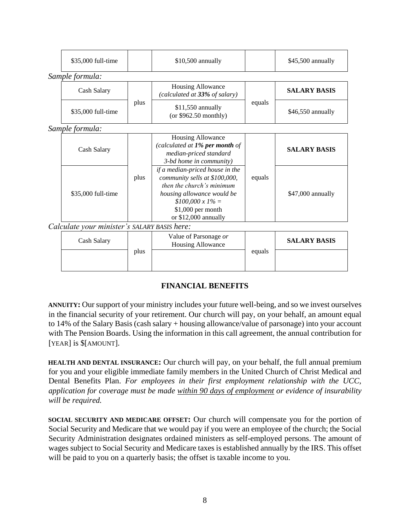| \$35,000 full-time                           |      | \$10,500 annually                                                                                                                                                                                   | \$45,500 annually |                     |  |
|----------------------------------------------|------|-----------------------------------------------------------------------------------------------------------------------------------------------------------------------------------------------------|-------------------|---------------------|--|
| Sample formula:                              |      |                                                                                                                                                                                                     |                   |                     |  |
| Cash Salary                                  |      | Housing Allowance<br>(calculated at 33% of salary)                                                                                                                                                  |                   | <b>SALARY BASIS</b> |  |
| \$35,000 full-time                           |      | \$11,550 annually<br>(or $$962.50$ monthly)                                                                                                                                                         | equals            | \$46,550 annually   |  |
| Sample formula:                              |      |                                                                                                                                                                                                     |                   |                     |  |
| Cash Salary                                  |      | Housing Allowance<br>(calculated at $1\%$ per month of<br>median-priced standard<br>3-bd home in community)                                                                                         |                   | <b>SALARY BASIS</b> |  |
| \$35,000 full-time                           | plus | if a median-priced house in the<br>community sells at \$100,000,<br>then the church's minimum<br>housing allowance would be<br>$$100,000 \times 1\% =$<br>\$1,000 per month<br>or \$12,000 annually | equals            | \$47,000 annually   |  |
| Calculate your minister's SALARY BASIS here: |      |                                                                                                                                                                                                     |                   |                     |  |
| Cash Salary                                  |      | Value of Parsonage or<br>Housing Allowance                                                                                                                                                          |                   | <b>SALARY BASIS</b> |  |
| plus                                         |      |                                                                                                                                                                                                     | equals            |                     |  |

# **FINANCIAL BENEFITS**

**ANNUITY:** Our support of your ministry includes your future well-being, and so we invest ourselves in the financial security of your retirement. Our church will pay, on your behalf, an amount equal to 14% of the Salary Basis (cash salary + housing allowance/value of parsonage) into your account with The Pension Boards. Using the information in this call agreement, the annual contribution for [YEAR] is \$[AMOUNT].

**HEALTH AND DENTAL INSURANCE:** Our church will pay, on your behalf, the full annual premium for you and your eligible immediate family members in the United Church of Christ Medical and Dental Benefits Plan. *For employees in their first employment relationship with the UCC, application for coverage must be made within 90 days of employment or evidence of insurability will be required.*

**SOCIAL SECURITY AND MEDICARE OFFSET:** Our church will compensate you for the portion of Social Security and Medicare that we would pay if you were an employee of the church; the Social Security Administration designates ordained ministers as self-employed persons. The amount of wages subject to Social Security and Medicare taxes is established annually by the IRS. This offset will be paid to you on a quarterly basis; the offset is taxable income to you.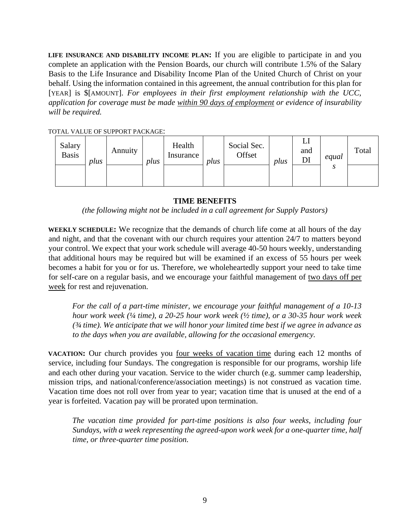**LIFE INSURANCE AND DISABILITY INCOME PLAN:** If you are eligible to participate in and you complete an application with the Pension Boards, our church will contribute 1.5% of the Salary Basis to the Life Insurance and Disability Income Plan of the United Church of Christ on your behalf. Using the information contained in this agreement, the annual contribution for this plan for [YEAR] is \$[AMOUNT]. *For employees in their first employment relationship with the UCC*, *application for coverage must be made within 90 days of employment or evidence of insurability will be required.*

TOTAL VALUE OF SUPPORT PACKAGE:

| Salary<br><b>Basis</b> | plus | Annuity | plus | Health<br>Insurance | plus | Social Sec.<br>Offset | plus | ப<br>and<br>DI | equal   | Total |
|------------------------|------|---------|------|---------------------|------|-----------------------|------|----------------|---------|-------|
|                        |      |         |      |                     |      |                       |      |                | C<br>۸J |       |

#### **TIME BENEFITS**

*(the following might not be included in a call agreement for Supply Pastors)*

**WEEKLY SCHEDULE:** We recognize that the demands of church life come at all hours of the day and night, and that the covenant with our church requires your attention 24/7 to matters beyond your control. We expect that your work schedule will average 40-50 hours weekly, understanding that additional hours may be required but will be examined if an excess of 55 hours per week becomes a habit for you or for us. Therefore, we wholeheartedly support your need to take time for self-care on a regular basis, and we encourage your faithful management of two days off per week for rest and rejuvenation.

*For the call of a part-time minister, we encourage your faithful management of a 10-13 hour work week (¼ time), a 20-25 hour work week (½ time), or a 30-35 hour work week (¾ time). We anticipate that we will honor your limited time best if we agree in advance as to the days when you are available, allowing for the occasional emergency.*

**VACATION:** Our church provides you <u>four weeks of vacation time</u> during each 12 months of service, including four Sundays. The congregation is responsible for our programs, worship life and each other during your vacation. Service to the wider church (e.g. summer camp leadership, mission trips, and national/conference/association meetings) is not construed as vacation time. Vacation time does not roll over from year to year; vacation time that is unused at the end of a year is forfeited. Vacation pay will be prorated upon termination.

*The vacation time provided for part-time positions is also four weeks, including four Sundays, with a week representing the agreed-upon work week for a one-quarter time, half time, or three-quarter time position.*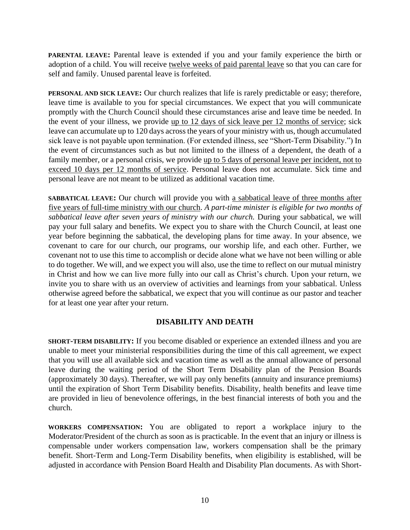**PARENTAL LEAVE:** Parental leave is extended if you and your family experience the birth or adoption of a child. You will receive twelve weeks of paid parental leave so that you can care for self and family. Unused parental leave is forfeited.

**PERSONAL AND SICK LEAVE:** Our church realizes that life is rarely predictable or easy; therefore, leave time is available to you for special circumstances. We expect that you will communicate promptly with the Church Council should these circumstances arise and leave time be needed. In the event of your illness, we provide up to 12 days of sick leave per 12 months of service; sick leave can accumulate up to 120 days across the years of your ministry with us, though accumulated sick leave is not payable upon termination. (For extended illness, see "Short-Term Disability.") In the event of circumstances such as but not limited to the illness of a dependent, the death of a family member, or a personal crisis, we provide up to 5 days of personal leave per incident, not to exceed 10 days per 12 months of service. Personal leave does not accumulate. Sick time and personal leave are not meant to be utilized as additional vacation time.

**SABBATICAL LEAVE:** Our church will provide you with a sabbatical leave of three months after five years of full-time ministry with our church. *A part-time minister is eligible for two months of sabbatical leave after seven years of ministry with our church.* During your sabbatical, we will pay your full salary and benefits. We expect you to share with the Church Council, at least one year before beginning the sabbatical, the developing plans for time away. In your absence, we covenant to care for our church, our programs, our worship life, and each other. Further, we covenant not to use this time to accomplish or decide alone what we have not been willing or able to do together. We will, and we expect you will also, use the time to reflect on our mutual ministry in Christ and how we can live more fully into our call as Christ's church. Upon your return, we invite you to share with us an overview of activities and learnings from your sabbatical. Unless otherwise agreed before the sabbatical, we expect that you will continue as our pastor and teacher for at least one year after your return.

#### **DISABILITY AND DEATH**

**SHORT-TERM DISABILITY:** If you become disabled or experience an extended illness and you are unable to meet your ministerial responsibilities during the time of this call agreement, we expect that you will use all available sick and vacation time as well as the annual allowance of personal leave during the waiting period of the Short Term Disability plan of the Pension Boards (approximately 30 days). Thereafter, we will pay only benefits (annuity and insurance premiums) until the expiration of Short Term Disability benefits. Disability, health benefits and leave time are provided in lieu of benevolence offerings, in the best financial interests of both you and the church.

**WORKERS COMPENSATION:** You are obligated to report a workplace injury to the Moderator/President of the church as soon as is practicable. In the event that an injury or illness is compensable under workers compensation law, workers compensation shall be the primary benefit. Short-Term and Long-Term Disability benefits, when eligibility is established, will be adjusted in accordance with Pension Board Health and Disability Plan documents. As with Short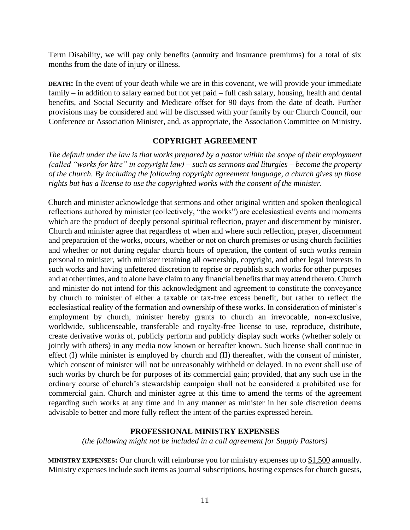Term Disability, we will pay only benefits (annuity and insurance premiums) for a total of six months from the date of injury or illness.

**DEATH:** In the event of your death while we are in this covenant, we will provide your immediate family – in addition to salary earned but not yet paid – full cash salary, housing, health and dental benefits, and Social Security and Medicare offset for 90 days from the date of death. Further provisions may be considered and will be discussed with your family by our Church Council, our Conference or Association Minister, and, as appropriate, the Association Committee on Ministry.

#### **COPYRIGHT AGREEMENT**

*The default under the law is that works prepared by a pastor within the scope of their employment (called "works for hire" in copyright law) – such as sermons and liturgies – become the property of the church. By including the following copyright agreement language, a church gives up those rights but has a license to use the copyrighted works with the consent of the minister.*

Church and minister acknowledge that sermons and other original written and spoken theological reflections authored by minister (collectively, "the works") are ecclesiastical events and moments which are the product of deeply personal spiritual reflection, prayer and discernment by minister. Church and minister agree that regardless of when and where such reflection, prayer, discernment and preparation of the works, occurs, whether or not on church premises or using church facilities and whether or not during regular church hours of operation, the content of such works remain personal to minister, with minister retaining all ownership, copyright, and other legal interests in such works and having unfettered discretion to reprise or republish such works for other purposes and at other times, and to alone have claim to any financial benefits that may attend thereto. Church and minister do not intend for this acknowledgment and agreement to constitute the conveyance by church to minister of either a taxable or tax-free excess benefit, but rather to reflect the ecclesiastical reality of the formation and ownership of these works. In consideration of minister's employment by church, minister hereby grants to church an irrevocable, non-exclusive, worldwide, sublicenseable, transferable and royalty-free license to use, reproduce, distribute, create derivative works of, publicly perform and publicly display such works (whether solely or jointly with others) in any media now known or hereafter known. Such license shall continue in effect (I) while minister is employed by church and (II) thereafter, with the consent of minister, which consent of minister will not be unreasonably withheld or delayed. In no event shall use of such works by church be for purposes of its commercial gain; provided, that any such use in the ordinary course of church's stewardship campaign shall not be considered a prohibited use for commercial gain. Church and minister agree at this time to amend the terms of the agreement regarding such works at any time and in any manner as minister in her sole discretion deems advisable to better and more fully reflect the intent of the parties expressed herein.

#### **PROFESSIONAL MINISTRY EXPENSES**

*(the following might not be included in a call agreement for Supply Pastors)*

**MINISTRY EXPENSES:** Our church will reimburse you for ministry expenses up to \$1,500 annually. Ministry expenses include such items as journal subscriptions, hosting expenses for church guests,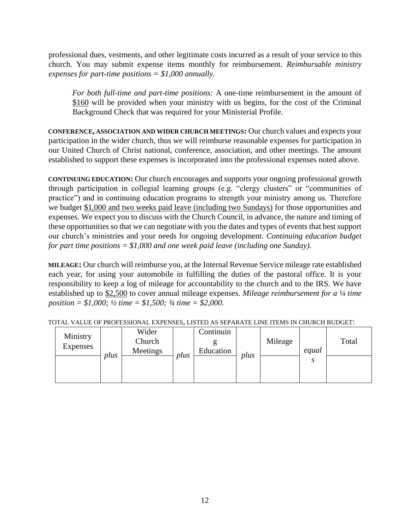professional dues, vestments, and other legitimate costs incurred as a result of your service to this church. You may submit expense items monthly for reimbursement. *Reimbursable ministry expenses for part-time positions = \$1,000 annually.*

*For both full-time and part-time positions:* A one-time reimbursement in the amount of \$160 will be provided when your ministry with us begins, for the cost of the Criminal Background Check that was required for your Ministerial Profile.

**CONFERENCE, ASSOCIATION AND WIDER CHURCH MEETINGS:** Our church values and expects your participation in the wider church, thus we will reimburse reasonable expenses for participation in our United Church of Christ national, conference, association, and other meetings. The amount established to support these expenses is incorporated into the professional expenses noted above.

**CONTINUING EDUCATION:** Our church encourages and supports your ongoing professional growth through participation in collegial learning groups (e.g. "clergy clusters" or "communities of practice") and in continuing education programs to strength your ministry among us. Therefore we budget \$1,000 and two weeks paid leave (including two Sundays) for those opportunities and expenses. We expect you to discuss with the Church Council, in advance, the nature and timing of these opportunities so that we can negotiate with you the dates and types of events that best support our church's ministries and your needs for ongoing development. *Continuing education budget for part time positions = \$1,000 and one week paid leave (including one Sunday).*

**MILEAGE:** Our church will reimburse you, at the Internal Revenue Service mileage rate established each year, for using your automobile in fulfilling the duties of the pastoral office. It is your responsibility to keep a log of mileage for accountability to the church and to the IRS. We have established up to \$2,500 to cover annual mileage expenses. *Mileage reimbursement for a ¼ time position = \$1,000; ½ time = \$1,500; ¾ time = \$2,000.*

| Ministry<br><b>Expenses</b> | plus | Wider<br>Church<br>Meetings | plus | Continuin<br>Education | plus | Mileage | equal | Total |
|-----------------------------|------|-----------------------------|------|------------------------|------|---------|-------|-------|
|                             |      |                             |      |                        |      |         |       |       |

TOTAL VALUE OF PROFESSIONAL EXPENSES, LISTED AS SEPARATE LINE ITEMS IN CHURCH BUDGET: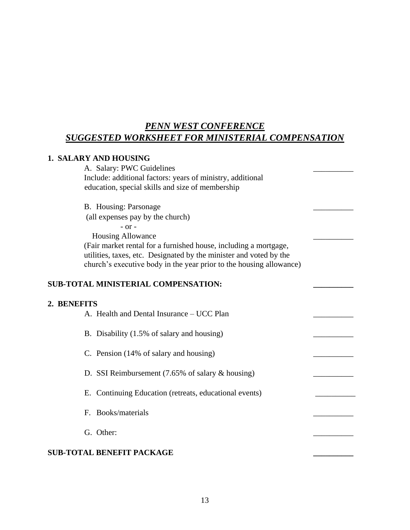# *PENN WEST CONFERENCE SUGGESTED WORKSHEET FOR MINISTERIAL COMPENSATION*

#### **1. SALARY AND HOUSING**

A. Salary: PWC Guidelines Include: additional factors: years of ministry, additional education, special skills and size of membership

B. Housing: Parsonage

(all expenses pay by the church)

- or -

 Housing Allowance \_\_\_\_\_\_\_\_\_\_ (Fair market rental for a furnished house, including a mortgage, utilities, taxes, etc. Designated by the minister and voted by the church's executive body in the year prior to the housing allowance)

# **SUB-TOTAL MINISTERIAL COMPENSATION:**

#### **2. BENEFITS**

| 2. BENEFITS                      | A. Health and Dental Insurance – UCC Plan                             |  |
|----------------------------------|-----------------------------------------------------------------------|--|
|                                  | B. Disability (1.5% of salary and housing)                            |  |
|                                  | C. Pension (14% of salary and housing)                                |  |
|                                  | D. SSI Reimbursement $(7.65\% \text{ of salary } \& \text{ housing})$ |  |
|                                  | E. Continuing Education (retreats, educational events)                |  |
| F. Books/materials               |                                                                       |  |
| G. Other:                        |                                                                       |  |
| <b>SUB-TOTAL BENEFIT PACKAGE</b> |                                                                       |  |